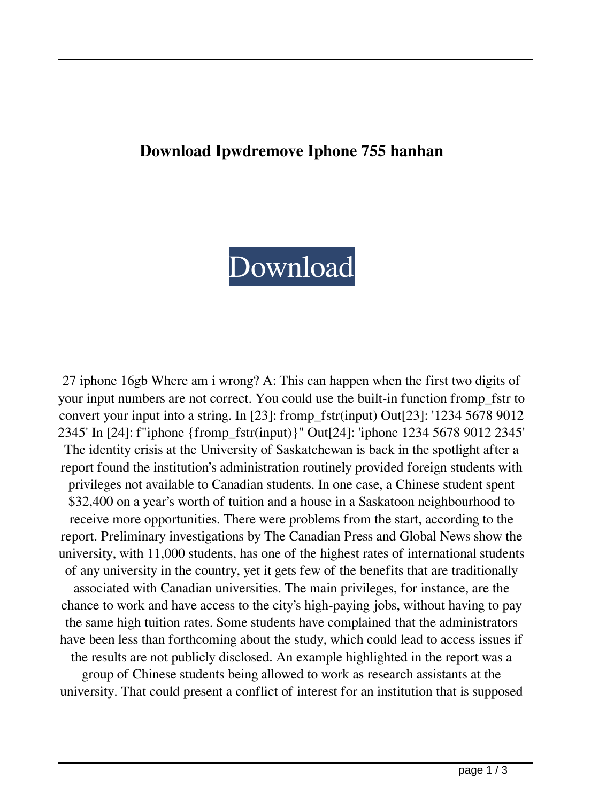## **Download Ipwdremove Iphone 755 hanhan**

## [Download](http://evacdir.com/breguet/gauntlet/flimsier/horticulturally/ZG93bmxvYWR8bDVzTW5NeU9YeDhNVFkxTWpRMk16QTFNSHg4TWpVM05IeDhLRTBwSUhKbFlXUXRZbXh2WnlCYlJtRnpkQ0JIUlU1ZA/spongebob/snowmobile.RG93bmxvYWQgSXB3ZHJlbW92ZSBJcGhvbmUgNzU1RG9)

27 iphone 16gb Where am i wrong? A: This can happen when the first two digits of your input numbers are not correct. You could use the built-in function fromp\_fstr to convert your input into a string. In [23]: fromp\_fstr(input) Out[23]: '1234 5678 9012 2345' In [24]: f"iphone {fromp\_fstr(input)}" Out[24]: 'iphone 1234 5678 9012 2345' The identity crisis at the University of Saskatchewan is back in the spotlight after a report found the institution's administration routinely provided foreign students with privileges not available to Canadian students. In one case, a Chinese student spent \$32,400 on a year's worth of tuition and a house in a Saskatoon neighbourhood to receive more opportunities. There were problems from the start, according to the report. Preliminary investigations by The Canadian Press and Global News show the university, with 11,000 students, has one of the highest rates of international students of any university in the country, yet it gets few of the benefits that are traditionally associated with Canadian universities. The main privileges, for instance, are the chance to work and have access to the city's high-paying jobs, without having to pay the same high tuition rates. Some students have complained that the administrators have been less than forthcoming about the study, which could lead to access issues if the results are not publicly disclosed. An example highlighted in the report was a group of Chinese students being allowed to work as research assistants at the university. That could present a conflict of interest for an institution that is supposed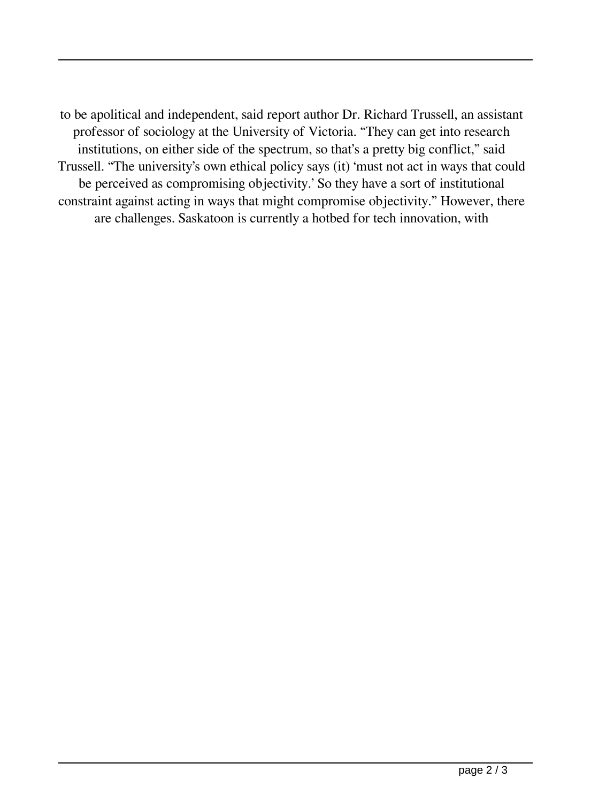to be apolitical and independent, said report author Dr. Richard Trussell, an assistant professor of sociology at the University of Victoria. "They can get into research institutions, on either side of the spectrum, so that's a pretty big conflict," said Trussell. "The university's own ethical policy says (it) 'must not act in ways that could be perceived as compromising objectivity.' So they have a sort of institutional constraint against acting in ways that might compromise objectivity." However, there are challenges. Saskatoon is currently a hotbed for tech innovation, with